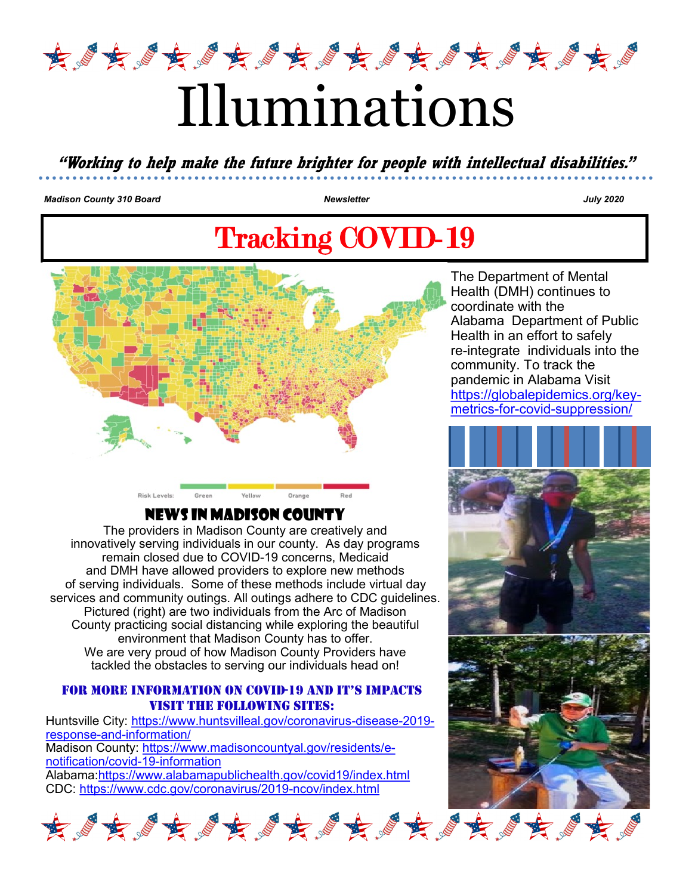

# Illuminations

**"Working to help make the future brighter for people with intellectual disabilities."**

*Madison County 310 Board Newsletter July 2020* 

## Tracking COVID-19



#### News in Madison County

The providers in Madison County are creatively and innovatively serving individuals in our county. As day programs remain closed due to COVID-19 concerns, Medicaid and DMH have allowed providers to explore new methods of serving individuals. Some of these methods include virtual day services and community outings. All outings adhere to CDC guidelines. Pictured (right) are two individuals from the Arc of Madison County practicing social distancing while exploring the beautiful environment that Madison County has to offer. We are very proud of how Madison County Providers have tackled the obstacles to serving our individuals head on!

#### For More Information on COVID-19 and it's impacts Visit the following sites:

Huntsville City: [https://www.huntsvilleal.gov/coronavirus](https://www.huntsvilleal.gov/coronavirus-disease-2019-response-and-information/)-disease-2019 response-and-[information/](https://www.huntsvilleal.gov/coronavirus-disease-2019-response-and-information/) Madison County: [https://www.madisoncountyal.gov/residents/e](https://www.madisoncountyal.gov/residents/e-notification/covid-19-information)[notification/covid](https://www.madisoncountyal.gov/residents/e-notification/covid-19-information)-19-information Alabama:<https://www.alabamapublichealth.gov/covid19/index.html> CDC: [https://www.cdc.gov/coronavirus/2019](https://www.cdc.gov/coronavirus/2019-ncov/index.html)-ncov/index.html

The Department of Mental Health (DMH) continues to coordinate with the Alabama Department of Public Health in an effort to safely re-integrate individuals into the community. To track the pandemic in Alabama Visit [https://globalepidemics.org/key](https://globalepidemics.org/key-metrics-for-covid-suppression/)metrics-for-covid-[suppression/](https://globalepidemics.org/key-metrics-for-covid-suppression/)